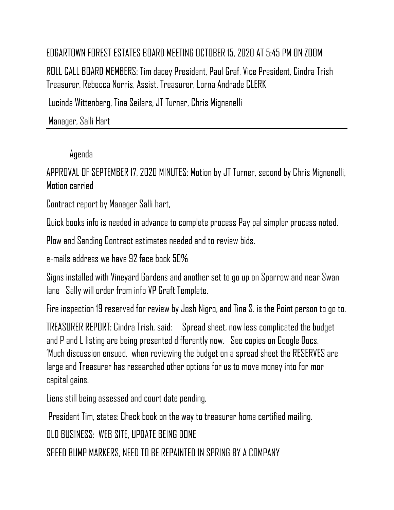## EDGARTOWN FOREST ESTATES BOARD MEETING OCTOBER 15, 2020 AT 5:45 PM ON ZOOM

ROLL CALL BOARD MEMBERS: Tim dacey President, Paul Graf, Vice President, Cindra Trish Treasurer, Rebecca Norris, Assist. Treasurer, Lorna Andrade CLERK

Lucinda Wittenberg, Tina Seilers, JT Turner, Chris Mignenelli

Manager, Salli Hart

## Agenda

APPROVAL OF SEPTEMBER 17, 2020 MINUTES: Motion by JT Turner, second by Chris Mignenelli, Motion carried

Contract report by Manager Salli hart,

Quick books info is needed in advance to complete process Pay pal simpler process noted.

Plow and Sanding Contract estimates needed and to review bids.

e-mails address we have 92 face book 50%

Signs installed with Vineyard Gardens and another set to go up on Sparrow and near Swan lane Sally will order from info VP Graft Template.

Fire inspection 19 reserved for review by Josh Nigro, and Tina S. is the Point person to go to.

TREASURER REPORT: Cindra Trish, said: Spread sheet, now less complicated the budget and P and L listing are being presented differently now. See copies on Google Docs. 'Much discussion ensued, when reviewing the budget on a spread sheet the RESERVES are large and Treasurer has researched other options for us to move money into for mor capital gains.

Liens still being assessed and court date pending,

President Tim, states: Check book on the way to treasurer home certified mailing.

OLD BUSINESS: WEB SITE, UPDATE BEING DONE

SPEED BUMP MARKERS, NEED TO BE REPAINTED IN SPRING BY A COMPANY